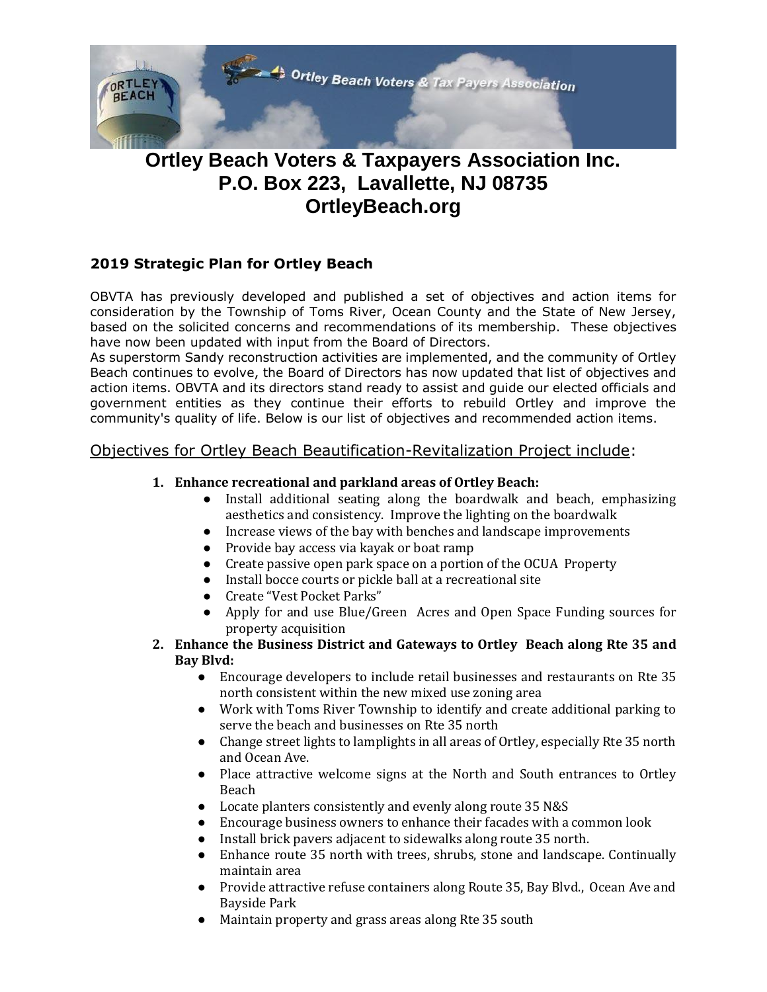

# **Ortley Beach Voters & Taxpayers Association Inc. P.O. Box 223, Lavallette, NJ 08735 OrtleyBeach.org**

## **2019 Strategic Plan for Ortley Beach**

OBVTA has previously developed and published a set of objectives and action items for consideration by the Township of Toms River, Ocean County and the State of New Jersey, based on the solicited concerns and recommendations of its membership. These objectives have now been updated with input from the Board of Directors.

As superstorm Sandy reconstruction activities are implemented, and the community of Ortley Beach continues to evolve, the Board of Directors has now updated that list of objectives and action items. OBVTA and its directors stand ready to assist and guide our elected officials and government entities as they continue their efforts to rebuild Ortley and improve the community's quality of life. Below is our list of objectives and recommended action items.

## Objectives for Ortley Beach Beautification-Revitalization Project include:

### **1. Enhance recreational and parkland areas of Ortley Beach:**

- Install additional seating along the boardwalk and beach, emphasizing aesthetics and consistency. Improve the lighting on the boardwalk
- Increase views of the bay with benches and landscape improvements
- Provide bay access via kayak or boat ramp
- Create passive open park space on a portion of the OCUA Property
- Install bocce courts or pickle ball at a recreational site
- Create "Vest Pocket Parks"
- Apply for and use Blue/Green Acres and Open Space Funding sources for property acquisition
- **2. Enhance the Business District and Gateways to Ortley Beach along Rte 35 and Bay Blvd:**
	- Encourage developers to include retail businesses and restaurants on Rte 35 north consistent within the new mixed use zoning area
	- Work with Toms River Township to identify and create additional parking to serve the beach and businesses on Rte 35 north
	- Change street lights to lamplights in all areas of Ortley, especially Rte 35 north and Ocean Ave.
	- Place attractive welcome signs at the North and South entrances to Ortley Beach
	- Locate planters consistently and evenly along route 35 N&S
	- Encourage business owners to enhance their facades with a common look
	- Install brick pavers adjacent to sidewalks along route 35 north.
	- Enhance route 35 north with trees, shrubs, stone and landscape. Continually maintain area
	- Provide attractive refuse containers along Route 35, Bay Blvd., Ocean Ave and Bayside Park
	- Maintain property and grass areas along Rte 35 south